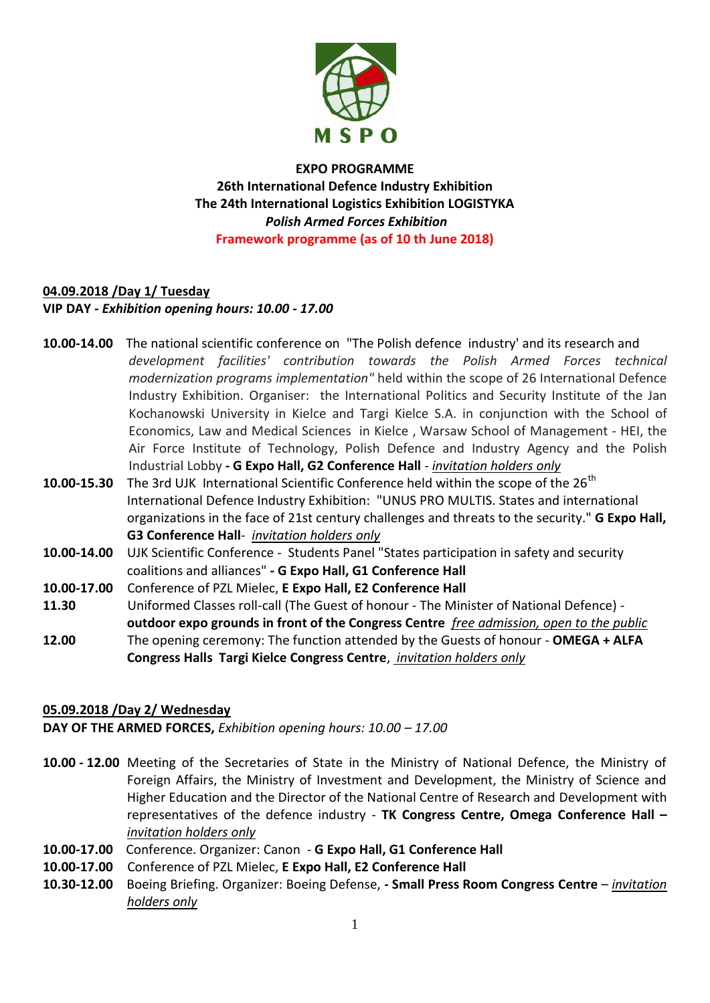

**EXPO PROGRAMME 26th International Defence Industry Exhibition The 24th International Logistics Exhibition LOGISTYKA** *Polish Armed Forces Exhibition*  **Framework programme (as of 10 th June 2018)** 

# **04.09.2018 /Day 1/ Tuesday VIP DAY** *- Exhibition opening hours: 10.00 - 17.00*

**10.00-14.00** The national scientific conference on "The Polish defence industry' and its research and *development facilities' contribution towards the Polish Armed Forces technical modernization programs implementation"* held within the scope of 26 International Defence Industry Exhibition. Organiser: the International Politics and Security Institute of the Jan Kochanowski University in Kielce and Targi Kielce S.A. in conjunction with the School of Economics, Law and Medical Sciences in Kielce , Warsaw School of Management - HEI, the Air Force Institute of Technology, Polish Defence and Industry Agency and the Polish Industrial Lobby **- G Expo Hall, G2 Conference Hall** *- invitation holders only*

- **10.00-15.30** The 3rd UJK International Scientific Conference held within the scope of the 26<sup>th</sup> International Defence Industry Exhibition: "UNUS PRO MULTIS. States and international organizations in the face of 21st century challenges and threats to the security." **G Expo Hall, G3 Conference Hall***- invitation holders only*
- **10.00-14.00** UJK Scientific Conference Students Panel "States participation in safety and security coalitions and alliances" **- G Expo Hall, G1 Conference Hall**
- **10.00-17.00** Conference of PZL Mielec, **E Expo Hall, E2 Conference Hall**
- **11.30** Uniformed Classes roll-call (The Guest of honour The Minister of National Defence) **outdoor expo grounds in front of the Congress Centre** *free admission, open to the public*
- **12.00** The opening ceremony: The function attended by the Guests of honour **OMEGA + ALFA Congress Halls Targi Kielce Congress Centre**, *invitation holders only*

# **05.09.2018 /Day 2/ Wednesday**

**DAY OF THE ARMED FORCES,** *Exhibition opening hours: 10.00 – 17.00*

- **10.00 - 12.00** Meeting of the Secretaries of State in the Ministry of National Defence, the Ministry of Foreign Affairs, the Ministry of Investment and Development, the Ministry of Science and Higher Education and the Director of the National Centre of Research and Development with representatives of the defence industry - **TK Congress Centre, Omega Conference Hall –** *invitation holders only*
- **10.00-17.00** Conference. Organizer: Canon **G Expo Hall, G1 Conference Hall**
- **10.00-17.00** Conference of PZL Mielec, **E Expo Hall, E2 Conference Hall**
- **10.30-12.00** Boeing Briefing. Organizer: Boeing Defense, **- Small Press Room Congress Centre** *invitation holders only*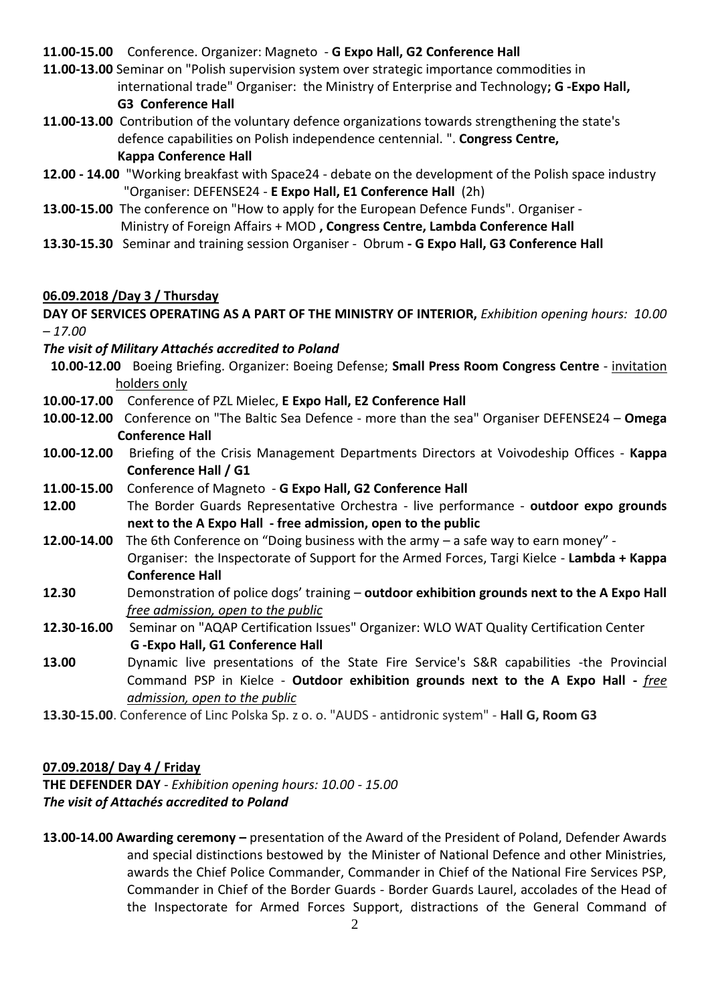## **11.00-15.00** Conference. Organizer: Magneto - **G Expo Hall, G2 Conference Hall**

**11.00-13.00** Seminar on "Polish supervision system over strategic importance commodities in international trade" Organiser: the Ministry of Enterprise and Technology**; G -Expo Hall, G3 Conference Hall**

- **11.00-13.00** Contribution of the voluntary defence organizations towards strengthening the state's defence capabilities on Polish independence centennial. ". **Congress Centre, Kappa Conference Hall**
- **12.00 - 14.00** "Working breakfast with Space24 debate on the development of the Polish space industry "Organiser: DEFENSE24 - **E Expo Hall, E1 Conference Hall** (2h)
- **13.00-15.00** The conference on "How to apply for the European Defence Funds". Organiser Ministry of Foreign Affairs + MOD **, Congress Centre, Lambda Conference Hall**
- **13.30-15.30** Seminar and training session Organiser Obrum **- G Expo Hall, G3 Conference Hall**

# **06.09.2018 /Day 3 / Thursday**

**DAY OF SERVICES OPERATING AS A PART OF THE MINISTRY OF INTERIOR,** *Exhibition opening hours: 10.00 – 17.00*

## *The visit of Military Attachés accredited to Poland*

- **10.00-12.00** Boeing Briefing. Organizer: Boeing Defense; **Small Press Room Congress Centre** invitation holders only
- **10.00-17.00** Conference of PZL Mielec, **E Expo Hall, E2 Conference Hall**
- **10.00-12.00** Conference on "The Baltic Sea Defence more than the sea" Organiser DEFENSE24 **Omega Conference Hall**
- **10.00-12.00** Briefing of the Crisis Management Departments Directors at Voivodeship Offices **Kappa Conference Hall / G1**
- **11.00-15.00** Conference of Magneto **G Expo Hall, G2 Conference Hall**
- **12.00** The Border Guards Representative Orchestra live performance **outdoor expo grounds next to the A Expo Hall - free admission, open to the public**
- **12.00-14.00** The 6th Conference on "Doing business with the army a safe way to earn money" Organiser: the Inspectorate of Support for the Armed Forces, Targi Kielce - **Lambda + Kappa Conference Hall**
- **12.30** Demonstration of police dogs' training **outdoor exhibition grounds next to the A Expo Hall** *free admission, open to the public*
- **12.30-16.00** Seminar on "AQAP Certification Issues" Organizer: WLO WAT Quality Certification Center **G -Expo Hall, G1 Conference Hall**
- **13.00** Dynamic live presentations of the State Fire Service's S&R capabilities -the Provincial Command PSP in Kielce - **Outdoor exhibition grounds next to the A Expo Hall -** *free admission, open to the public*
- **13.30-15.00**. Conference of Linc Polska Sp. z o. o. "AUDS antidronic system" **Hall G, Room G3**

# **07.09.2018/ Day 4 / Friday**

**THE DEFENDER DAY** *- Exhibition opening hours: 10.00 - 15.00 The visit of Attachés accredited to Poland* 

**13.00-14.00 Awarding ceremony –** presentation of the Award of the President of Poland, Defender Awards and special distinctions bestowed by the Minister of National Defence and other Ministries, awards the Chief Police Commander, Commander in Chief of the National Fire Services PSP, Commander in Chief of the Border Guards - Border Guards Laurel, accolades of the Head of the Inspectorate for Armed Forces Support, distractions of the General Command of